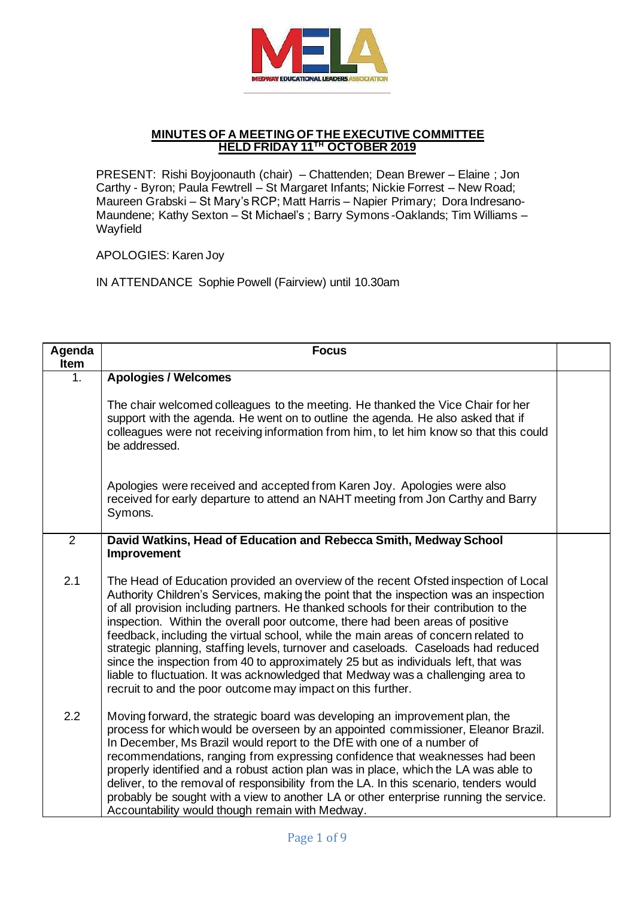

## **MINUTES OF A MEETING OF THE EXECUTIVE COMMITTEE HELD FRIDAY 11TH OCTOBER 2019**

PRESENT: Rishi Boyjoonauth (chair) – Chattenden; Dean Brewer – Elaine ; Jon Carthy - Byron; Paula Fewtrell – St Margaret Infants; Nickie Forrest – New Road; Maureen Grabski – St Mary's RCP; Matt Harris – Napier Primary; Dora Indresano-Maundene; Kathy Sexton – St Michael's ; Barry Symons -Oaklands; Tim Williams – Wayfield

APOLOGIES: Karen Joy

IN ATTENDANCE Sophie Powell (Fairview) until 10.30am

| Agenda<br>Item | <b>Focus</b>                                                                                                                                                                                                                                                                                                                                                                                                                                                                                                                                                                                                                                                                                                                                                                |  |
|----------------|-----------------------------------------------------------------------------------------------------------------------------------------------------------------------------------------------------------------------------------------------------------------------------------------------------------------------------------------------------------------------------------------------------------------------------------------------------------------------------------------------------------------------------------------------------------------------------------------------------------------------------------------------------------------------------------------------------------------------------------------------------------------------------|--|
| 1.             | <b>Apologies / Welcomes</b>                                                                                                                                                                                                                                                                                                                                                                                                                                                                                                                                                                                                                                                                                                                                                 |  |
|                | The chair welcomed colleagues to the meeting. He thanked the Vice Chair for her<br>support with the agenda. He went on to outline the agenda. He also asked that if<br>colleagues were not receiving information from him, to let him know so that this could<br>be addressed.                                                                                                                                                                                                                                                                                                                                                                                                                                                                                              |  |
|                | Apologies were received and accepted from Karen Joy. Apologies were also<br>received for early departure to attend an NAHT meeting from Jon Carthy and Barry<br>Symons.                                                                                                                                                                                                                                                                                                                                                                                                                                                                                                                                                                                                     |  |
| $\overline{2}$ | David Watkins, Head of Education and Rebecca Smith, Medway School<br><b>Improvement</b>                                                                                                                                                                                                                                                                                                                                                                                                                                                                                                                                                                                                                                                                                     |  |
| 2.1            | The Head of Education provided an overview of the recent Ofsted inspection of Local<br>Authority Children's Services, making the point that the inspection was an inspection<br>of all provision including partners. He thanked schools for their contribution to the<br>inspection. Within the overall poor outcome, there had been areas of positive<br>feedback, including the virtual school, while the main areas of concern related to<br>strategic planning, staffing levels, turnover and caseloads. Caseloads had reduced<br>since the inspection from 40 to approximately 25 but as individuals left, that was<br>liable to fluctuation. It was acknowledged that Medway was a challenging area to<br>recruit to and the poor outcome may impact on this further. |  |
| 2.2            | Moving forward, the strategic board was developing an improvement plan, the<br>process for which would be overseen by an appointed commissioner, Eleanor Brazil.<br>In December, Ms Brazil would report to the DfE with one of a number of<br>recommendations, ranging from expressing confidence that weaknesses had been<br>properly identified and a robust action plan was in place, which the LA was able to<br>deliver, to the removal of responsibility from the LA. In this scenario, tenders would<br>probably be sought with a view to another LA or other enterprise running the service.<br>Accountability would though remain with Medway.                                                                                                                     |  |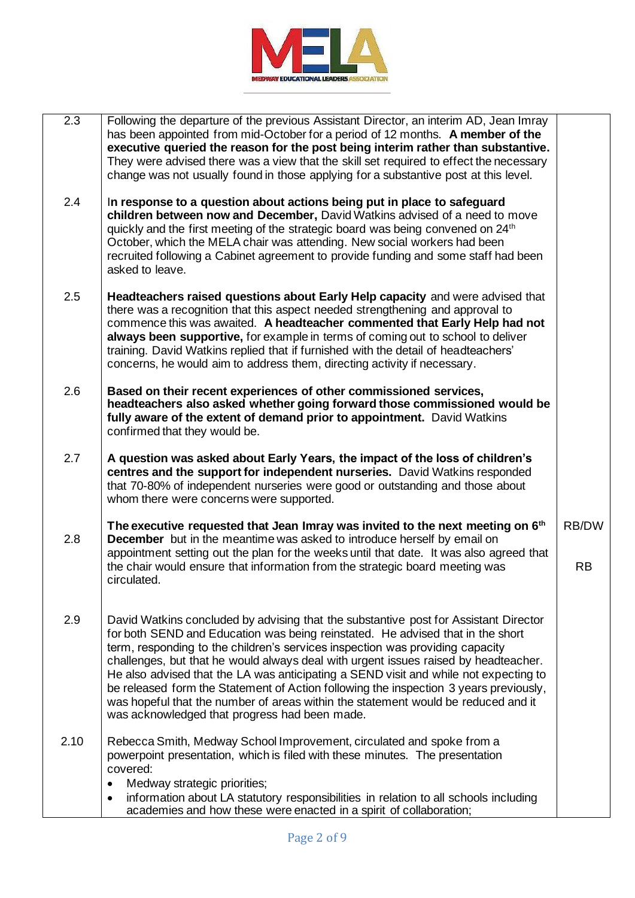

| 2.3  | Following the departure of the previous Assistant Director, an interim AD, Jean Imray<br>has been appointed from mid-October for a period of 12 months. A member of the<br>executive queried the reason for the post being interim rather than substantive.<br>They were advised there was a view that the skill set required to effect the necessary<br>change was not usually found in those applying for a substantive post at this level.                                                                                                                                                                                                                         |                           |
|------|-----------------------------------------------------------------------------------------------------------------------------------------------------------------------------------------------------------------------------------------------------------------------------------------------------------------------------------------------------------------------------------------------------------------------------------------------------------------------------------------------------------------------------------------------------------------------------------------------------------------------------------------------------------------------|---------------------------|
| 2.4  | In response to a question about actions being put in place to safeguard<br>children between now and December, David Watkins advised of a need to move<br>quickly and the first meeting of the strategic board was being convened on 24 <sup>th</sup><br>October, which the MELA chair was attending. New social workers had been<br>recruited following a Cabinet agreement to provide funding and some staff had been<br>asked to leave.                                                                                                                                                                                                                             |                           |
| 2.5  | Headteachers raised questions about Early Help capacity and were advised that<br>there was a recognition that this aspect needed strengthening and approval to<br>commence this was awaited. A headteacher commented that Early Help had not<br>always been supportive, for example in terms of coming out to school to deliver<br>training. David Watkins replied that if furnished with the detail of headteachers'<br>concerns, he would aim to address them, directing activity if necessary.                                                                                                                                                                     |                           |
| 2.6  | Based on their recent experiences of other commissioned services,<br>headteachers also asked whether going forward those commissioned would be<br>fully aware of the extent of demand prior to appointment. David Watkins<br>confirmed that they would be.                                                                                                                                                                                                                                                                                                                                                                                                            |                           |
| 2.7  | A question was asked about Early Years, the impact of the loss of children's<br>centres and the support for independent nurseries. David Watkins responded<br>that 70-80% of independent nurseries were good or outstanding and those about<br>whom there were concerns were supported.                                                                                                                                                                                                                                                                                                                                                                               |                           |
| 2.8  | The executive requested that Jean Imray was invited to the next meeting on 6 <sup>th</sup><br><b>December</b> but in the meantime was asked to introduce herself by email on<br>appointment setting out the plan for the weeks until that date. It was also agreed that<br>the chair would ensure that information from the strategic board meeting was<br>circulated.                                                                                                                                                                                                                                                                                                | <b>RB/DW</b><br><b>RB</b> |
| 2.9  | David Watkins concluded by advising that the substantive post for Assistant Director<br>for both SEND and Education was being reinstated. He advised that in the short<br>term, responding to the children's services inspection was providing capacity<br>challenges, but that he would always deal with urgent issues raised by headteacher.<br>He also advised that the LA was anticipating a SEND visit and while not expecting to<br>be released form the Statement of Action following the inspection 3 years previously,<br>was hopeful that the number of areas within the statement would be reduced and it<br>was acknowledged that progress had been made. |                           |
| 2.10 | Rebecca Smith, Medway School Improvement, circulated and spoke from a<br>powerpoint presentation, which is filed with these minutes. The presentation<br>covered:<br>Medway strategic priorities;<br>$\bullet$<br>information about LA statutory responsibilities in relation to all schools including<br>$\bullet$<br>academies and how these were enacted in a spirit of collaboration;                                                                                                                                                                                                                                                                             |                           |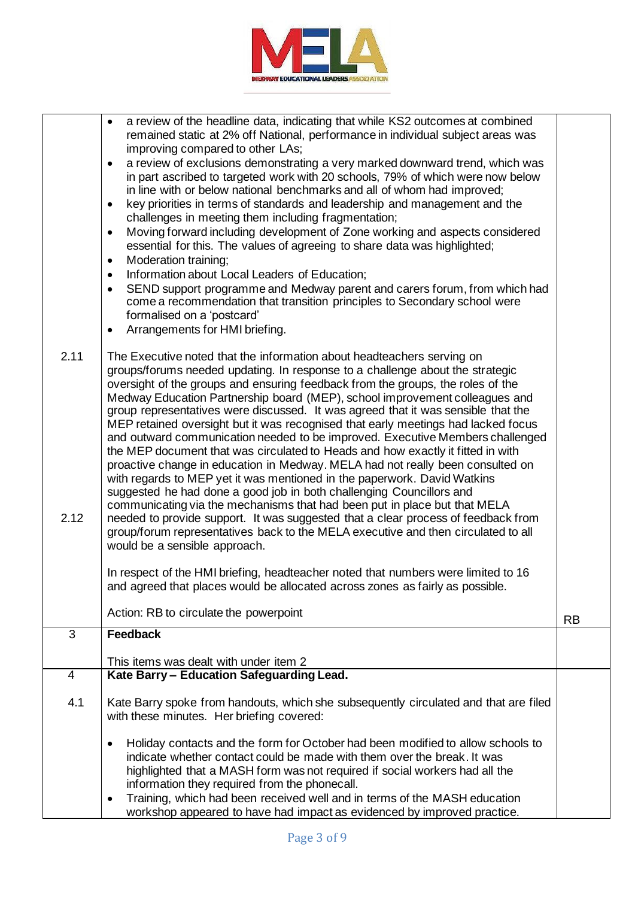

| 2.11 | a review of the headline data, indicating that while KS2 outcomes at combined<br>$\bullet$<br>remained static at 2% off National, performance in individual subject areas was<br>improving compared to other LAs;<br>a review of exclusions demonstrating a very marked downward trend, which was<br>$\bullet$<br>in part ascribed to targeted work with 20 schools, 79% of which were now below<br>in line with or below national benchmarks and all of whom had improved;<br>key priorities in terms of standards and leadership and management and the<br>$\bullet$<br>challenges in meeting them including fragmentation;<br>Moving forward including development of Zone working and aspects considered<br>$\bullet$<br>essential for this. The values of agreeing to share data was highlighted;<br>Moderation training;<br>$\bullet$<br>Information about Local Leaders of Education;<br>$\bullet$<br>SEND support programme and Medway parent and carers forum, from which had<br>$\bullet$<br>come a recommendation that transition principles to Secondary school were<br>formalised on a 'postcard'<br>Arrangements for HMI briefing.<br>$\bullet$<br>The Executive noted that the information about headteachers serving on                                                           |           |
|------|---------------------------------------------------------------------------------------------------------------------------------------------------------------------------------------------------------------------------------------------------------------------------------------------------------------------------------------------------------------------------------------------------------------------------------------------------------------------------------------------------------------------------------------------------------------------------------------------------------------------------------------------------------------------------------------------------------------------------------------------------------------------------------------------------------------------------------------------------------------------------------------------------------------------------------------------------------------------------------------------------------------------------------------------------------------------------------------------------------------------------------------------------------------------------------------------------------------------------------------------------------------------------------------------------|-----------|
| 2.12 | groups/forums needed updating. In response to a challenge about the strategic<br>oversight of the groups and ensuring feedback from the groups, the roles of the<br>Medway Education Partnership board (MEP), school improvement colleagues and<br>group representatives were discussed. It was agreed that it was sensible that the<br>MEP retained oversight but it was recognised that early meetings had lacked focus<br>and outward communication needed to be improved. Executive Members challenged<br>the MEP document that was circulated to Heads and how exactly it fitted in with<br>proactive change in education in Medway. MELA had not really been consulted on<br>with regards to MEP yet it was mentioned in the paperwork. David Watkins<br>suggested he had done a good job in both challenging Councillors and<br>communicating via the mechanisms that had been put in place but that MELA<br>needed to provide support. It was suggested that a clear process of feedback from<br>group/forum representatives back to the MELA executive and then circulated to all<br>would be a sensible approach.<br>In respect of the HMI briefing, headteacher noted that numbers were limited to 16<br>and agreed that places would be allocated across zones as fairly as possible. |           |
|      | Action: RB to circulate the powerpoint                                                                                                                                                                                                                                                                                                                                                                                                                                                                                                                                                                                                                                                                                                                                                                                                                                                                                                                                                                                                                                                                                                                                                                                                                                                            |           |
| 3    | <b>Feedback</b>                                                                                                                                                                                                                                                                                                                                                                                                                                                                                                                                                                                                                                                                                                                                                                                                                                                                                                                                                                                                                                                                                                                                                                                                                                                                                   | <b>RB</b> |
|      |                                                                                                                                                                                                                                                                                                                                                                                                                                                                                                                                                                                                                                                                                                                                                                                                                                                                                                                                                                                                                                                                                                                                                                                                                                                                                                   |           |
| 4    | This items was dealt with under item 2<br>Kate Barry - Education Safeguarding Lead.                                                                                                                                                                                                                                                                                                                                                                                                                                                                                                                                                                                                                                                                                                                                                                                                                                                                                                                                                                                                                                                                                                                                                                                                               |           |
|      |                                                                                                                                                                                                                                                                                                                                                                                                                                                                                                                                                                                                                                                                                                                                                                                                                                                                                                                                                                                                                                                                                                                                                                                                                                                                                                   |           |
| 4.1  | Kate Barry spoke from handouts, which she subsequently circulated and that are filed<br>with these minutes. Her briefing covered:                                                                                                                                                                                                                                                                                                                                                                                                                                                                                                                                                                                                                                                                                                                                                                                                                                                                                                                                                                                                                                                                                                                                                                 |           |
|      | Holiday contacts and the form for October had been modified to allow schools to<br>٠                                                                                                                                                                                                                                                                                                                                                                                                                                                                                                                                                                                                                                                                                                                                                                                                                                                                                                                                                                                                                                                                                                                                                                                                              |           |
|      | indicate whether contact could be made with them over the break. It was<br>highlighted that a MASH form was not required if social workers had all the                                                                                                                                                                                                                                                                                                                                                                                                                                                                                                                                                                                                                                                                                                                                                                                                                                                                                                                                                                                                                                                                                                                                            |           |
|      | information they required from the phonecall.                                                                                                                                                                                                                                                                                                                                                                                                                                                                                                                                                                                                                                                                                                                                                                                                                                                                                                                                                                                                                                                                                                                                                                                                                                                     |           |
|      | Training, which had been received well and in terms of the MASH education<br>$\bullet$<br>workshop appeared to have had impact as evidenced by improved practice.                                                                                                                                                                                                                                                                                                                                                                                                                                                                                                                                                                                                                                                                                                                                                                                                                                                                                                                                                                                                                                                                                                                                 |           |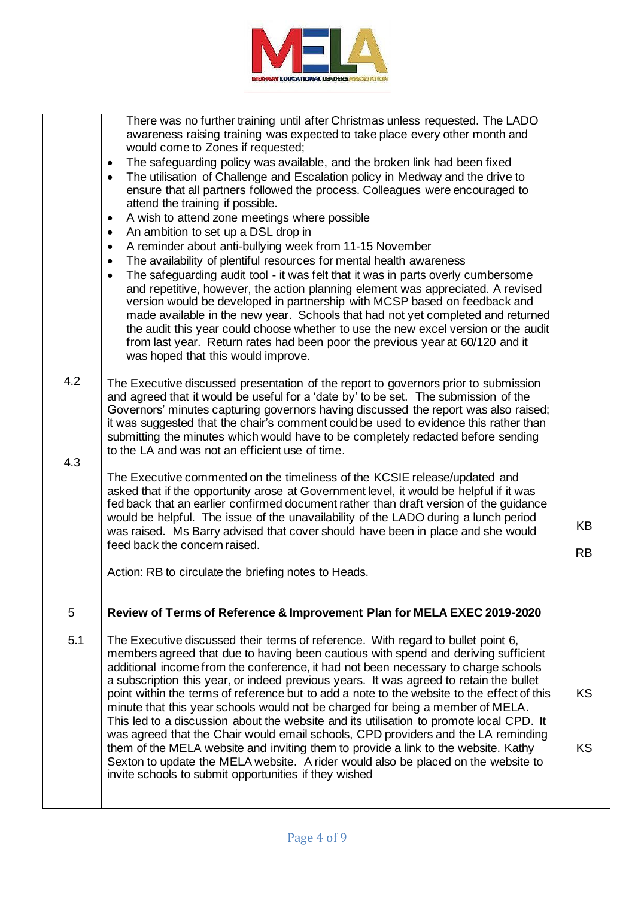

|            | There was no further training until after Christmas unless requested. The LADO<br>awareness raising training was expected to take place every other month and<br>would come to Zones if requested;<br>The safeguarding policy was available, and the broken link had been fixed<br>$\bullet$<br>The utilisation of Challenge and Escalation policy in Medway and the drive to<br>$\bullet$<br>ensure that all partners followed the process. Colleagues were encouraged to<br>attend the training if possible.<br>A wish to attend zone meetings where possible<br>$\bullet$<br>An ambition to set up a DSL drop in<br>$\bullet$<br>A reminder about anti-bullying week from 11-15 November<br>$\bullet$<br>The availability of plentiful resources for mental health awareness<br>$\bullet$<br>The safeguarding audit tool - it was felt that it was in parts overly cumbersome<br>$\bullet$<br>and repetitive, however, the action planning element was appreciated. A revised<br>version would be developed in partnership with MCSP based on feedback and<br>made available in the new year. Schools that had not yet completed and returned<br>the audit this year could choose whether to use the new excel version or the audit<br>from last year. Return rates had been poor the previous year at 60/120 and it<br>was hoped that this would improve. |                        |
|------------|---------------------------------------------------------------------------------------------------------------------------------------------------------------------------------------------------------------------------------------------------------------------------------------------------------------------------------------------------------------------------------------------------------------------------------------------------------------------------------------------------------------------------------------------------------------------------------------------------------------------------------------------------------------------------------------------------------------------------------------------------------------------------------------------------------------------------------------------------------------------------------------------------------------------------------------------------------------------------------------------------------------------------------------------------------------------------------------------------------------------------------------------------------------------------------------------------------------------------------------------------------------------------------------------------------------------------------------------------------------|------------------------|
| 4.2<br>4.3 | The Executive discussed presentation of the report to governors prior to submission<br>and agreed that it would be useful for a 'date by' to be set. The submission of the<br>Governors' minutes capturing governors having discussed the report was also raised;<br>it was suggested that the chair's comment could be used to evidence this rather than<br>submitting the minutes which would have to be completely redacted before sending<br>to the LA and was not an efficient use of time.                                                                                                                                                                                                                                                                                                                                                                                                                                                                                                                                                                                                                                                                                                                                                                                                                                                              |                        |
|            | The Executive commented on the timeliness of the KCSIE release/updated and<br>asked that if the opportunity arose at Government level, it would be helpful if it was<br>fed back that an earlier confirmed document rather than draft version of the guidance<br>would be helpful. The issue of the unavailability of the LADO during a lunch period<br>was raised. Ms Barry advised that cover should have been in place and she would<br>feed back the concern raised.<br>Action: RB to circulate the briefing notes to Heads.                                                                                                                                                                                                                                                                                                                                                                                                                                                                                                                                                                                                                                                                                                                                                                                                                              | KB<br><b>RB</b>        |
| 5          | Review of Terms of Reference & Improvement Plan for MELA EXEC 2019-2020                                                                                                                                                                                                                                                                                                                                                                                                                                                                                                                                                                                                                                                                                                                                                                                                                                                                                                                                                                                                                                                                                                                                                                                                                                                                                       |                        |
| 5.1        | The Executive discussed their terms of reference. With regard to bullet point 6,<br>members agreed that due to having been cautious with spend and deriving sufficient<br>additional income from the conference, it had not been necessary to charge schools<br>a subscription this year, or indeed previous years. It was agreed to retain the bullet<br>point within the terms of reference but to add a note to the website to the effect of this<br>minute that this year schools would not be charged for being a member of MELA.<br>This led to a discussion about the website and its utilisation to promote local CPD. It<br>was agreed that the Chair would email schools, CPD providers and the LA reminding<br>them of the MELA website and inviting them to provide a link to the website. Kathy<br>Sexton to update the MELA website. A rider would also be placed on the website to<br>invite schools to submit opportunities if they wished                                                                                                                                                                                                                                                                                                                                                                                                    | <b>KS</b><br><b>KS</b> |
|            |                                                                                                                                                                                                                                                                                                                                                                                                                                                                                                                                                                                                                                                                                                                                                                                                                                                                                                                                                                                                                                                                                                                                                                                                                                                                                                                                                               |                        |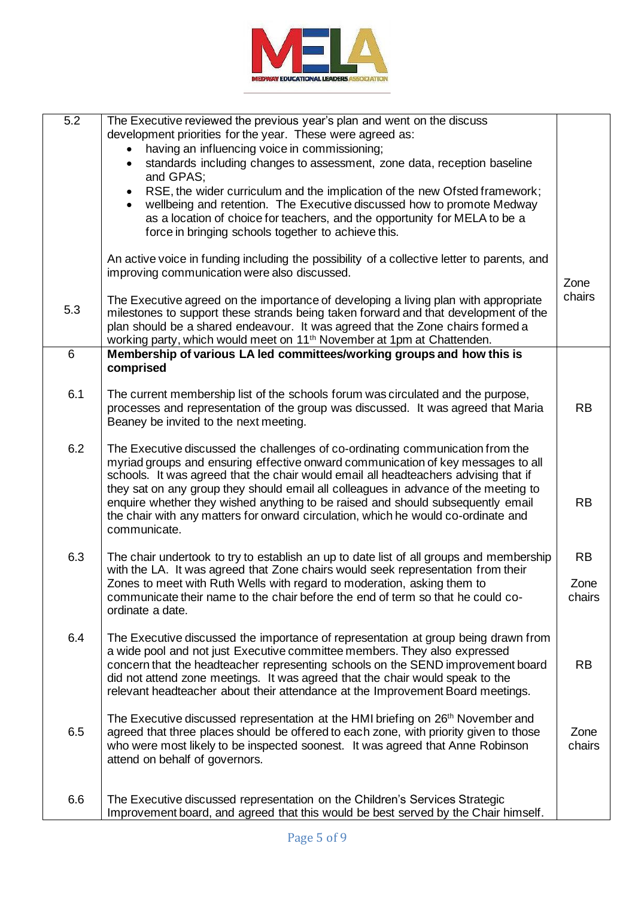

| 5.2 | The Executive reviewed the previous year's plan and went on the discuss<br>development priorities for the year. These were agreed as:<br>having an influencing voice in commissioning;<br>standards including changes to assessment, zone data, reception baseline<br>and GPAS;<br>RSE, the wider curriculum and the implication of the new Ofsted framework;<br>wellbeing and retention. The Executive discussed how to promote Medway<br>as a location of choice for teachers, and the opportunity for MELA to be a<br>force in bringing schools together to achieve this. |                |
|-----|------------------------------------------------------------------------------------------------------------------------------------------------------------------------------------------------------------------------------------------------------------------------------------------------------------------------------------------------------------------------------------------------------------------------------------------------------------------------------------------------------------------------------------------------------------------------------|----------------|
|     | An active voice in funding including the possibility of a collective letter to parents, and<br>improving communication were also discussed.<br>The Executive agreed on the importance of developing a living plan with appropriate                                                                                                                                                                                                                                                                                                                                           | Zone<br>chairs |
| 5.3 | milestones to support these strands being taken forward and that development of the<br>plan should be a shared endeavour. It was agreed that the Zone chairs formed a<br>working party, which would meet on 11 <sup>th</sup> November at 1pm at Chattenden.                                                                                                                                                                                                                                                                                                                  |                |
| 6   | Membership of various LA led committees/working groups and how this is<br>comprised                                                                                                                                                                                                                                                                                                                                                                                                                                                                                          |                |
| 6.1 | The current membership list of the schools forum was circulated and the purpose,<br>processes and representation of the group was discussed. It was agreed that Maria<br>Beaney be invited to the next meeting.                                                                                                                                                                                                                                                                                                                                                              | <b>RB</b>      |
| 6.2 | The Executive discussed the challenges of co-ordinating communication from the<br>myriad groups and ensuring effective onward communication of key messages to all<br>schools. It was agreed that the chair would email all headteachers advising that if<br>they sat on any group they should email all colleagues in advance of the meeting to<br>enquire whether they wished anything to be raised and should subsequently email<br>the chair with any matters for onward circulation, which he would co-ordinate and<br>communicate.                                     | <b>RB</b>      |
| 6.3 | The chair undertook to try to establish an up to date list of all groups and membership<br>with the LA. It was agreed that Zone chairs would seek representation from their                                                                                                                                                                                                                                                                                                                                                                                                  | <b>RB</b>      |
|     | Zones to meet with Ruth Wells with regard to moderation, asking them to<br>communicate their name to the chair before the end of term so that he could co-<br>ordinate a date.                                                                                                                                                                                                                                                                                                                                                                                               | Zone<br>chairs |
| 6.4 | The Executive discussed the importance of representation at group being drawn from<br>a wide pool and not just Executive committee members. They also expressed<br>concern that the headteacher representing schools on the SEND improvement board<br>did not attend zone meetings. It was agreed that the chair would speak to the<br>relevant headteacher about their attendance at the Improvement Board meetings.                                                                                                                                                        | <b>RB</b>      |
| 6.5 | The Executive discussed representation at the HMI briefing on 26 <sup>th</sup> November and<br>agreed that three places should be offered to each zone, with priority given to those<br>who were most likely to be inspected soonest. It was agreed that Anne Robinson<br>attend on behalf of governors.                                                                                                                                                                                                                                                                     | Zone<br>chairs |
| 6.6 | The Executive discussed representation on the Children's Services Strategic<br>Improvement board, and agreed that this would be best served by the Chair himself.                                                                                                                                                                                                                                                                                                                                                                                                            |                |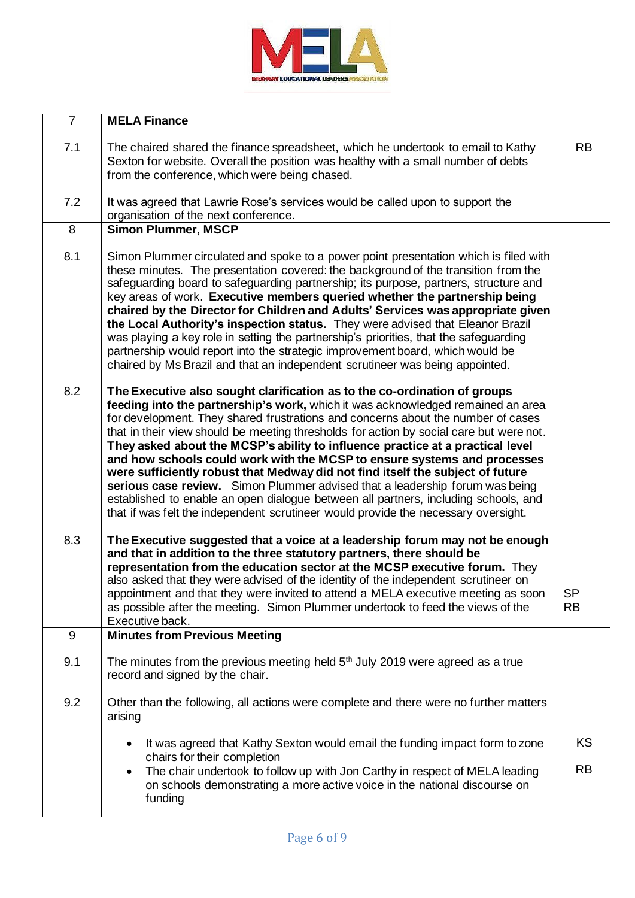

| $\overline{7}$ | <b>MELA Finance</b>                                                                                                                                                                                                                                                                                                                                                                                                                                                                                                                                                                                                                                                                                                                                                                                                                                      |                        |
|----------------|----------------------------------------------------------------------------------------------------------------------------------------------------------------------------------------------------------------------------------------------------------------------------------------------------------------------------------------------------------------------------------------------------------------------------------------------------------------------------------------------------------------------------------------------------------------------------------------------------------------------------------------------------------------------------------------------------------------------------------------------------------------------------------------------------------------------------------------------------------|------------------------|
| 7.1            | The chaired shared the finance spreadsheet, which he undertook to email to Kathy<br>Sexton for website. Overall the position was healthy with a small number of debts<br>from the conference, which were being chased.                                                                                                                                                                                                                                                                                                                                                                                                                                                                                                                                                                                                                                   | <b>RB</b>              |
| 7.2            | It was agreed that Lawrie Rose's services would be called upon to support the<br>organisation of the next conference.                                                                                                                                                                                                                                                                                                                                                                                                                                                                                                                                                                                                                                                                                                                                    |                        |
| 8              | <b>Simon Plummer, MSCP</b>                                                                                                                                                                                                                                                                                                                                                                                                                                                                                                                                                                                                                                                                                                                                                                                                                               |                        |
| 8.1            | Simon Plummer circulated and spoke to a power point presentation which is filed with<br>these minutes. The presentation covered: the background of the transition from the<br>safeguarding board to safeguarding partnership; its purpose, partners, structure and<br>key areas of work. Executive members queried whether the partnership being<br>chaired by the Director for Children and Adults' Services was appropriate given<br>the Local Authority's inspection status. They were advised that Eleanor Brazil<br>was playing a key role in setting the partnership's priorities, that the safeguarding<br>partnership would report into the strategic improvement board, which would be<br>chaired by Ms Brazil and that an independent scrutineer was being appointed.                                                                          |                        |
| 8.2            | The Executive also sought clarification as to the co-ordination of groups<br>feeding into the partnership's work, which it was acknowledged remained an area<br>for development. They shared frustrations and concerns about the number of cases<br>that in their view should be meeting thresholds for action by social care but were not.<br>They asked about the MCSP's ability to influence practice at a practical level<br>and how schools could work with the MCSP to ensure systems and processes<br>were sufficiently robust that Medway did not find itself the subject of future<br>serious case review. Simon Plummer advised that a leadership forum was being<br>established to enable an open dialogue between all partners, including schools, and<br>that if was felt the independent scrutineer would provide the necessary oversight. |                        |
| 8.3            | The Executive suggested that a voice at a leadership forum may not be enough<br>and that in addition to the three statutory partners, there should be<br>representation from the education sector at the MCSP executive forum. They<br>also asked that they were advised of the identity of the independent scrutineer on<br>appointment and that they were invited to attend a MELA executive meeting as soon<br>as possible after the meeting. Simon Plummer undertook to feed the views of the<br>Executive back.                                                                                                                                                                                                                                                                                                                                     | <b>SP</b><br><b>RB</b> |
| 9              | <b>Minutes from Previous Meeting</b>                                                                                                                                                                                                                                                                                                                                                                                                                                                                                                                                                                                                                                                                                                                                                                                                                     |                        |
| 9.1            | The minutes from the previous meeting held $5th$ July 2019 were agreed as a true<br>record and signed by the chair.                                                                                                                                                                                                                                                                                                                                                                                                                                                                                                                                                                                                                                                                                                                                      |                        |
| 9.2            | Other than the following, all actions were complete and there were no further matters<br>arising                                                                                                                                                                                                                                                                                                                                                                                                                                                                                                                                                                                                                                                                                                                                                         |                        |
|                | It was agreed that Kathy Sexton would email the funding impact form to zone                                                                                                                                                                                                                                                                                                                                                                                                                                                                                                                                                                                                                                                                                                                                                                              | <b>KS</b>              |
|                | chairs for their completion<br>The chair undertook to follow up with Jon Carthy in respect of MELA leading<br>$\bullet$<br>on schools demonstrating a more active voice in the national discourse on<br>funding                                                                                                                                                                                                                                                                                                                                                                                                                                                                                                                                                                                                                                          | <b>RB</b>              |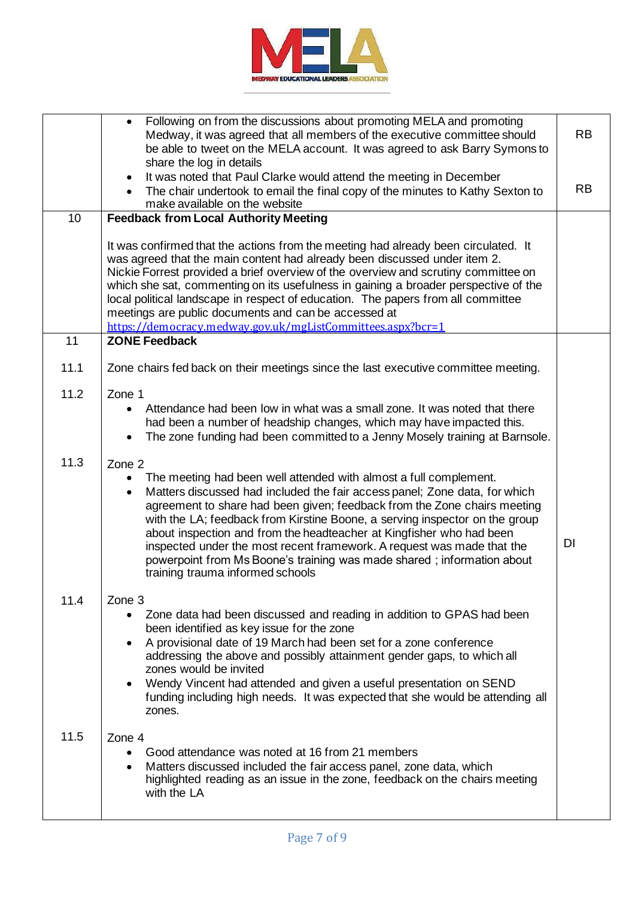

|      | Following on from the discussions about promoting MELA and promoting<br>$\bullet$<br>Medway, it was agreed that all members of the executive committee should<br>be able to tweet on the MELA account. It was agreed to ask Barry Symons to<br>share the log in details                                                                                                                                                                                                                                                                                                                                | <b>RB</b> |
|------|--------------------------------------------------------------------------------------------------------------------------------------------------------------------------------------------------------------------------------------------------------------------------------------------------------------------------------------------------------------------------------------------------------------------------------------------------------------------------------------------------------------------------------------------------------------------------------------------------------|-----------|
|      | It was noted that Paul Clarke would attend the meeting in December<br>$\bullet$<br>The chair undertook to email the final copy of the minutes to Kathy Sexton to<br>make available on the website                                                                                                                                                                                                                                                                                                                                                                                                      | <b>RB</b> |
| 10   | <b>Feedback from Local Authority Meeting</b>                                                                                                                                                                                                                                                                                                                                                                                                                                                                                                                                                           |           |
|      | It was confirmed that the actions from the meeting had already been circulated. It<br>was agreed that the main content had already been discussed under item 2.<br>Nickie Forrest provided a brief overview of the overview and scrutiny committee on<br>which she sat, commenting on its usefulness in gaining a broader perspective of the<br>local political landscape in respect of education. The papers from all committee<br>meetings are public documents and can be accessed at<br>https://democracy.medway.gov.uk/mgListCommittees.aspx?bcr=1                                                |           |
| 11   | <b>ZONE Feedback</b>                                                                                                                                                                                                                                                                                                                                                                                                                                                                                                                                                                                   |           |
| 11.1 | Zone chairs fed back on their meetings since the last executive committee meeting.                                                                                                                                                                                                                                                                                                                                                                                                                                                                                                                     |           |
| 11.2 | Zone 1<br>Attendance had been low in what was a small zone. It was noted that there<br>$\bullet$<br>had been a number of headship changes, which may have impacted this.<br>The zone funding had been committed to a Jenny Mosely training at Barnsole.                                                                                                                                                                                                                                                                                                                                                |           |
| 11.3 | Zone 2<br>The meeting had been well attended with almost a full complement.<br>٠<br>Matters discussed had included the fair access panel; Zone data, for which<br>$\bullet$<br>agreement to share had been given; feedback from the Zone chairs meeting<br>with the LA; feedback from Kirstine Boone, a serving inspector on the group<br>about inspection and from the headteacher at Kingfisher who had been<br>inspected under the most recent framework. A request was made that the<br>powerpoint from Ms Boone's training was made shared; information about<br>training trauma informed schools | DI        |
| 11.4 | Zone 3<br>Zone data had been discussed and reading in addition to GPAS had been<br>$\bullet$<br>been identified as key issue for the zone<br>A provisional date of 19 March had been set for a zone conference<br>addressing the above and possibly attainment gender gaps, to which all<br>zones would be invited<br>Wendy Vincent had attended and given a useful presentation on SEND<br>funding including high needs. It was expected that she would be attending all<br>zones.                                                                                                                    |           |
| 11.5 | Zone 4<br>Good attendance was noted at 16 from 21 members<br>Matters discussed included the fair access panel, zone data, which<br>$\bullet$<br>highlighted reading as an issue in the zone, feedback on the chairs meeting<br>with the LA                                                                                                                                                                                                                                                                                                                                                             |           |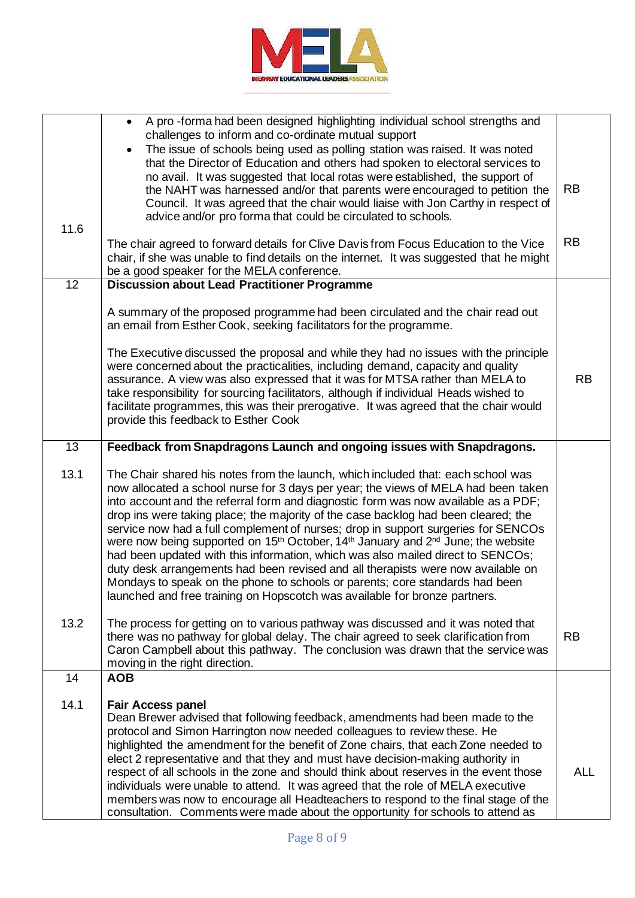

| 11.6 | A pro-forma had been designed highlighting individual school strengths and<br>$\bullet$<br>challenges to inform and co-ordinate mutual support<br>The issue of schools being used as polling station was raised. It was noted<br>that the Director of Education and others had spoken to electoral services to<br>no avail. It was suggested that local rotas were established, the support of<br>the NAHT was harnessed and/or that parents were encouraged to petition the<br>Council. It was agreed that the chair would liaise with Jon Carthy in respect of<br>advice and/or pro forma that could be circulated to schools.                                                                                                                                                                                                                                                                     | <b>RB</b>  |
|------|------------------------------------------------------------------------------------------------------------------------------------------------------------------------------------------------------------------------------------------------------------------------------------------------------------------------------------------------------------------------------------------------------------------------------------------------------------------------------------------------------------------------------------------------------------------------------------------------------------------------------------------------------------------------------------------------------------------------------------------------------------------------------------------------------------------------------------------------------------------------------------------------------|------------|
|      | The chair agreed to forward details for Clive Davis from Focus Education to the Vice<br>chair, if she was unable to find details on the internet. It was suggested that he might<br>be a good speaker for the MELA conference.                                                                                                                                                                                                                                                                                                                                                                                                                                                                                                                                                                                                                                                                       | <b>RB</b>  |
| 12   | <b>Discussion about Lead Practitioner Programme</b>                                                                                                                                                                                                                                                                                                                                                                                                                                                                                                                                                                                                                                                                                                                                                                                                                                                  |            |
|      | A summary of the proposed programme had been circulated and the chair read out<br>an email from Esther Cook, seeking facilitators for the programme.                                                                                                                                                                                                                                                                                                                                                                                                                                                                                                                                                                                                                                                                                                                                                 |            |
|      | The Executive discussed the proposal and while they had no issues with the principle<br>were concerned about the practicalities, including demand, capacity and quality<br>assurance. A view was also expressed that it was for MTSA rather than MELA to<br>take responsibility for sourcing facilitators, although if individual Heads wished to<br>facilitate programmes, this was their prerogative. It was agreed that the chair would<br>provide this feedback to Esther Cook                                                                                                                                                                                                                                                                                                                                                                                                                   | <b>RB</b>  |
| 13   | Feedback from Snapdragons Launch and ongoing issues with Snapdragons.                                                                                                                                                                                                                                                                                                                                                                                                                                                                                                                                                                                                                                                                                                                                                                                                                                |            |
| 13.1 | The Chair shared his notes from the launch, which included that: each school was<br>now allocated a school nurse for 3 days per year; the views of MELA had been taken<br>into account and the referral form and diagnostic form was now available as a PDF;<br>drop ins were taking place; the majority of the case backlog had been cleared; the<br>service now had a full complement of nurses; drop in support surgeries for SENCOs<br>were now being supported on 15 <sup>th</sup> October, 14 <sup>th</sup> January and 2 <sup>nd</sup> June; the website<br>had been updated with this information, which was also mailed direct to SENCOs;<br>duty desk arrangements had been revised and all therapists were now available on<br>Mondays to speak on the phone to schools or parents; core standards had been<br>launched and free training on Hopscotch was available for bronze partners. |            |
| 13.2 | The process for getting on to various pathway was discussed and it was noted that<br>there was no pathway for global delay. The chair agreed to seek clarification from<br>Caron Campbell about this pathway. The conclusion was drawn that the service was<br>moving in the right direction.                                                                                                                                                                                                                                                                                                                                                                                                                                                                                                                                                                                                        | <b>RB</b>  |
| 14   | <b>AOB</b>                                                                                                                                                                                                                                                                                                                                                                                                                                                                                                                                                                                                                                                                                                                                                                                                                                                                                           |            |
| 14.1 | <b>Fair Access panel</b><br>Dean Brewer advised that following feedback, amendments had been made to the<br>protocol and Simon Harrington now needed colleagues to review these. He<br>highlighted the amendment for the benefit of Zone chairs, that each Zone needed to<br>elect 2 representative and that they and must have decision-making authority in<br>respect of all schools in the zone and should think about reserves in the event those<br>individuals were unable to attend. It was agreed that the role of MELA executive<br>members was now to encourage all Headteachers to respond to the final stage of the<br>consultation. Comments were made about the opportunity for schools to attend as                                                                                                                                                                                   | <b>ALL</b> |